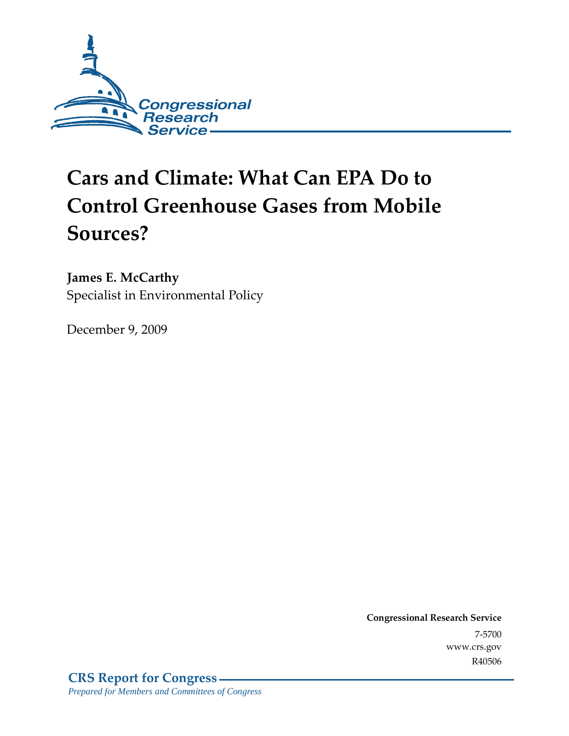

# **Cars and Climate: What Can EPA Do to Control Greenhouse Gases from Mobile Sources?**

### **James E. McCarthy**

Specialist in Environmental Policy

December 9, 2009

**Congressional Research Service** 7-5700 www.crs.gov R40506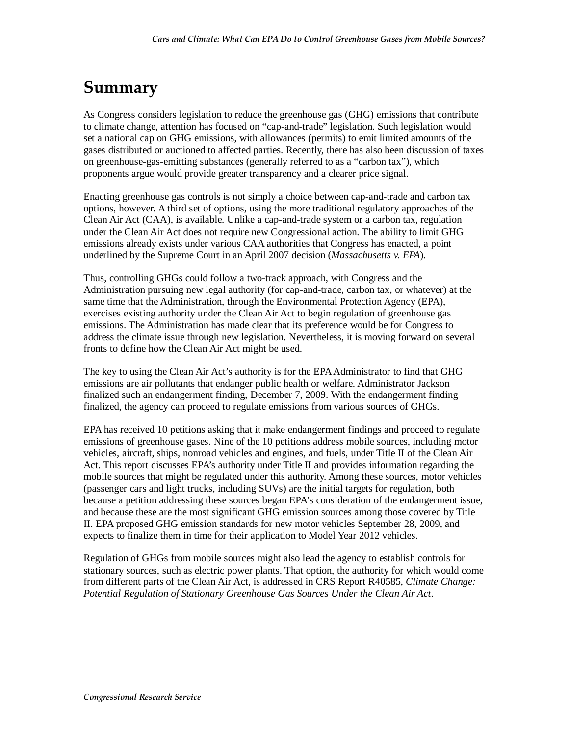## **Summary**

As Congress considers legislation to reduce the greenhouse gas (GHG) emissions that contribute to climate change, attention has focused on "cap-and-trade" legislation. Such legislation would set a national cap on GHG emissions, with allowances (permits) to emit limited amounts of the gases distributed or auctioned to affected parties. Recently, there has also been discussion of taxes on greenhouse-gas-emitting substances (generally referred to as a "carbon tax"), which proponents argue would provide greater transparency and a clearer price signal.

Enacting greenhouse gas controls is not simply a choice between cap-and-trade and carbon tax options, however. A third set of options, using the more traditional regulatory approaches of the Clean Air Act (CAA), is available. Unlike a cap-and-trade system or a carbon tax, regulation under the Clean Air Act does not require new Congressional action. The ability to limit GHG emissions already exists under various CAA authorities that Congress has enacted, a point underlined by the Supreme Court in an April 2007 decision (*Massachusetts v. EPA*).

Thus, controlling GHGs could follow a two-track approach, with Congress and the Administration pursuing new legal authority (for cap-and-trade, carbon tax, or whatever) at the same time that the Administration, through the Environmental Protection Agency (EPA), exercises existing authority under the Clean Air Act to begin regulation of greenhouse gas emissions. The Administration has made clear that its preference would be for Congress to address the climate issue through new legislation. Nevertheless, it is moving forward on several fronts to define how the Clean Air Act might be used.

The key to using the Clean Air Act's authority is for the EPA Administrator to find that GHG emissions are air pollutants that endanger public health or welfare. Administrator Jackson finalized such an endangerment finding, December 7, 2009. With the endangerment finding finalized, the agency can proceed to regulate emissions from various sources of GHGs.

EPA has received 10 petitions asking that it make endangerment findings and proceed to regulate emissions of greenhouse gases. Nine of the 10 petitions address mobile sources, including motor vehicles, aircraft, ships, nonroad vehicles and engines, and fuels, under Title II of the Clean Air Act. This report discusses EPA's authority under Title II and provides information regarding the mobile sources that might be regulated under this authority. Among these sources, motor vehicles (passenger cars and light trucks, including SUVs) are the initial targets for regulation, both because a petition addressing these sources began EPA's consideration of the endangerment issue, and because these are the most significant GHG emission sources among those covered by Title II. EPA proposed GHG emission standards for new motor vehicles September 28, 2009, and expects to finalize them in time for their application to Model Year 2012 vehicles.

Regulation of GHGs from mobile sources might also lead the agency to establish controls for stationary sources, such as electric power plants. That option, the authority for which would come from different parts of the Clean Air Act, is addressed in CRS Report R40585, *Climate Change: Potential Regulation of Stationary Greenhouse Gas Sources Under the Clean Air Act*.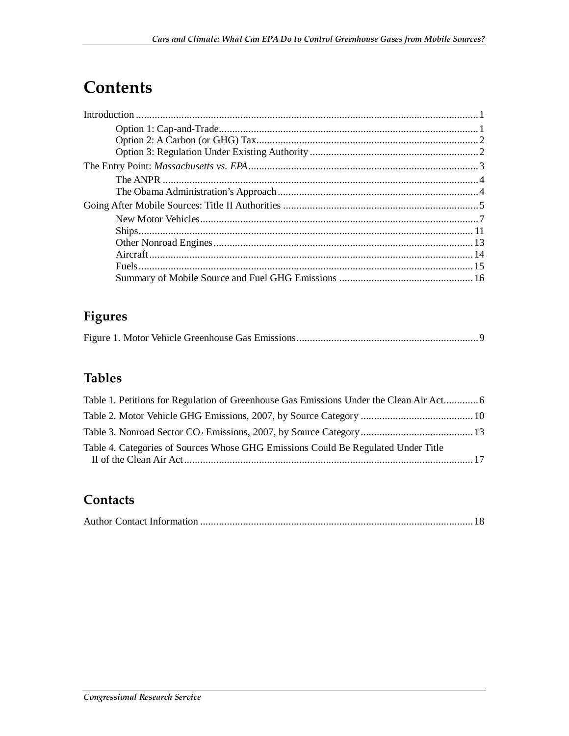## **Contents**

## **Figures**

|--|--|--|--|--|--|--|

### **Tables**

| Table 1. Petitions for Regulation of Greenhouse Gas Emissions Under the Clean Air Act 6 |  |
|-----------------------------------------------------------------------------------------|--|
|                                                                                         |  |
|                                                                                         |  |
| Table 4. Categories of Sources Whose GHG Emissions Could Be Regulated Under Title       |  |

### **Contacts**

|--|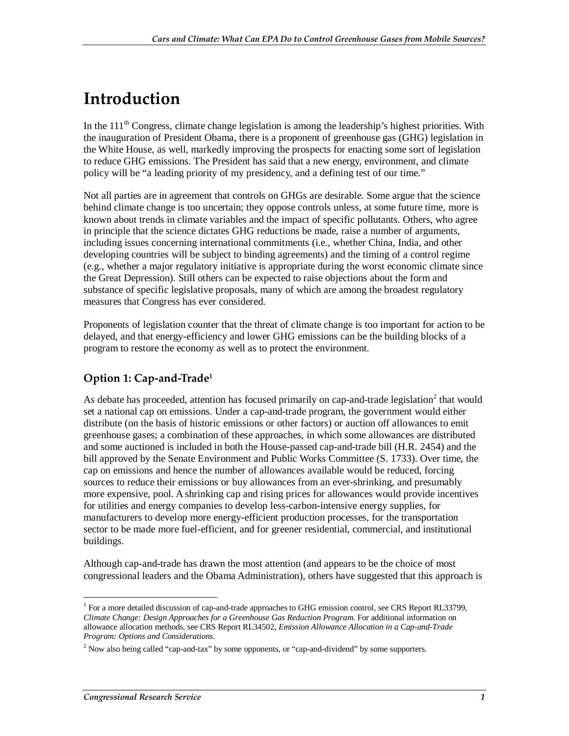## **Introduction**

In the  $111<sup>th</sup>$  Congress, climate change legislation is among the leadership's highest priorities. With the inauguration of President Obama, there is a proponent of greenhouse gas (GHG) legislation in the White House, as well, markedly improving the prospects for enacting some sort of legislation to reduce GHG emissions. The President has said that a new energy, environment, and climate policy will be "a leading priority of my presidency, and a defining test of our time."

Not all parties are in agreement that controls on GHGs are desirable. Some argue that the science behind climate change is too uncertain; they oppose controls unless, at some future time, more is known about trends in climate variables and the impact of specific pollutants. Others, who agree in principle that the science dictates GHG reductions be made, raise a number of arguments, including issues concerning international commitments (i.e., whether China, India, and other developing countries will be subject to binding agreements) and the timing of a control regime (e.g., whether a major regulatory initiative is appropriate during the worst economic climate since the Great Depression). Still others can be expected to raise objections about the form and substance of specific legislative proposals, many of which are among the broadest regulatory measures that Congress has ever considered.

Proponents of legislation counter that the threat of climate change is too important for action to be delayed, and that energy-efficiency and lower GHG emissions can be the building blocks of a program to restore the economy as well as to protect the environment.

### **Option 1: Cap-and-Trade1**

As debate has proceeded, attention has focused primarily on cap-and-trade legislation<sup>2</sup> that would set a national cap on emissions. Under a cap-and-trade program, the government would either distribute (on the basis of historic emissions or other factors) or auction off allowances to emit greenhouse gases; a combination of these approaches, in which some allowances are distributed and some auctioned is included in both the House-passed cap-and-trade bill (H.R. 2454) and the bill approved by the Senate Environment and Public Works Committee (S. 1733). Over time, the cap on emissions and hence the number of allowances available would be reduced, forcing sources to reduce their emissions or buy allowances from an ever-shrinking, and presumably more expensive, pool. A shrinking cap and rising prices for allowances would provide incentives for utilities and energy companies to develop less-carbon-intensive energy supplies, for manufacturers to develop more energy-efficient production processes, for the transportation sector to be made more fuel-efficient, and for greener residential, commercial, and institutional buildings.

Although cap-and-trade has drawn the most attention (and appears to be the choice of most congressional leaders and the Obama Administration), others have suggested that this approach is

<sup>&</sup>lt;u>.</u> <sup>1</sup> For a more detailed discussion of cap-and-trade approaches to GHG emission control, see CRS Report RL33799, *Climate Change: Design Approaches for a Greenhouse Gas Reduction Program*. For additional information on allowance allocation methods, see CRS Report RL34502, *Emission Allowance Allocation in a Cap-and-Trade Program: Options and Considerations*.

 $2$  Now also being called "cap-and-tax" by some opponents, or "cap-and-dividend" by some supporters.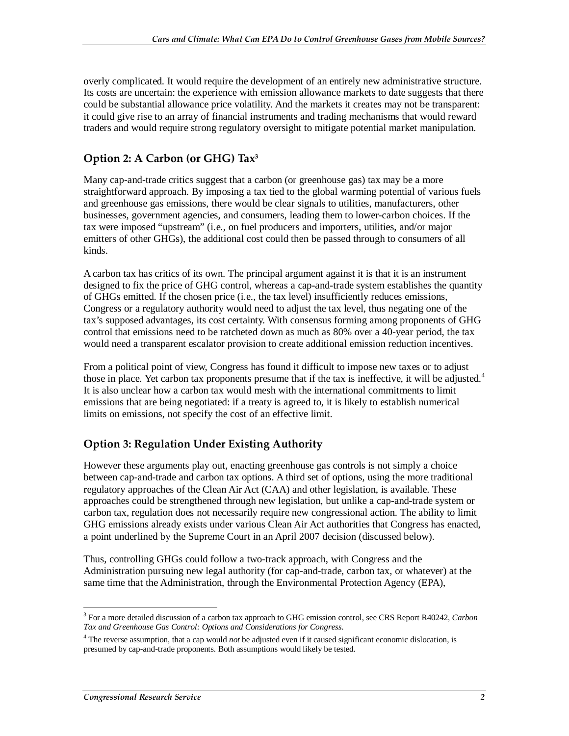overly complicated. It would require the development of an entirely new administrative structure. Its costs are uncertain: the experience with emission allowance markets to date suggests that there could be substantial allowance price volatility. And the markets it creates may not be transparent: it could give rise to an array of financial instruments and trading mechanisms that would reward traders and would require strong regulatory oversight to mitigate potential market manipulation.

### **Option 2: A Carbon (or GHG) Tax3**

Many cap-and-trade critics suggest that a carbon (or greenhouse gas) tax may be a more straightforward approach. By imposing a tax tied to the global warming potential of various fuels and greenhouse gas emissions, there would be clear signals to utilities, manufacturers, other businesses, government agencies, and consumers, leading them to lower-carbon choices. If the tax were imposed "upstream" (i.e., on fuel producers and importers, utilities, and/or major emitters of other GHGs), the additional cost could then be passed through to consumers of all kinds.

A carbon tax has critics of its own. The principal argument against it is that it is an instrument designed to fix the price of GHG control, whereas a cap-and-trade system establishes the quantity of GHGs emitted. If the chosen price (i.e., the tax level) insufficiently reduces emissions, Congress or a regulatory authority would need to adjust the tax level, thus negating one of the tax's supposed advantages, its cost certainty. With consensus forming among proponents of GHG control that emissions need to be ratcheted down as much as 80% over a 40-year period, the tax would need a transparent escalator provision to create additional emission reduction incentives.

From a political point of view, Congress has found it difficult to impose new taxes or to adjust those in place. Yet carbon tax proponents presume that if the tax is ineffective, it will be adjusted.<sup>4</sup> It is also unclear how a carbon tax would mesh with the international commitments to limit emissions that are being negotiated: if a treaty is agreed to, it is likely to establish numerical limits on emissions, not specify the cost of an effective limit.

### **Option 3: Regulation Under Existing Authority**

However these arguments play out, enacting greenhouse gas controls is not simply a choice between cap-and-trade and carbon tax options. A third set of options, using the more traditional regulatory approaches of the Clean Air Act (CAA) and other legislation, is available. These approaches could be strengthened through new legislation, but unlike a cap-and-trade system or carbon tax, regulation does not necessarily require new congressional action. The ability to limit GHG emissions already exists under various Clean Air Act authorities that Congress has enacted, a point underlined by the Supreme Court in an April 2007 decision (discussed below).

Thus, controlling GHGs could follow a two-track approach, with Congress and the Administration pursuing new legal authority (for cap-and-trade, carbon tax, or whatever) at the same time that the Administration, through the Environmental Protection Agency (EPA),

<sup>-</sup>3 For a more detailed discussion of a carbon tax approach to GHG emission control, see CRS Report R40242, *Carbon Tax and Greenhouse Gas Control: Options and Considerations for Congress*.

<sup>4</sup> The reverse assumption, that a cap would *not* be adjusted even if it caused significant economic dislocation, is presumed by cap-and-trade proponents. Both assumptions would likely be tested.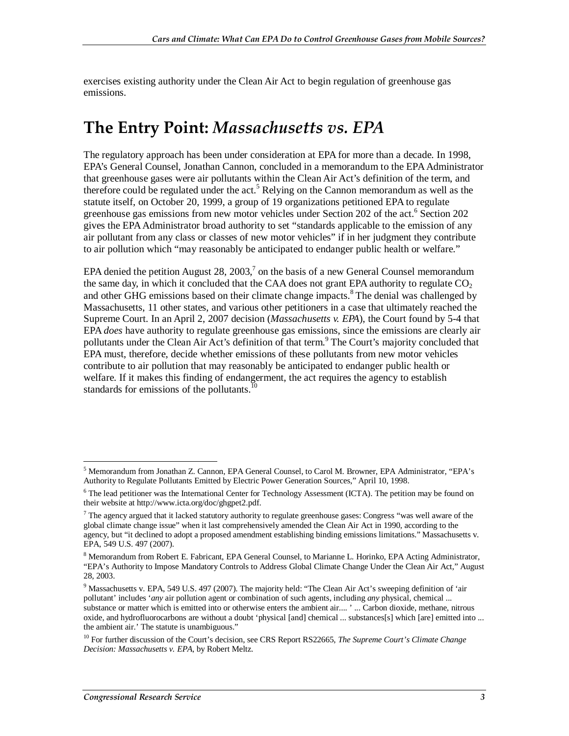exercises existing authority under the Clean Air Act to begin regulation of greenhouse gas emissions.

## **The Entry Point:** *Massachusetts vs. EPA*

The regulatory approach has been under consideration at EPA for more than a decade. In 1998, EPA's General Counsel, Jonathan Cannon, concluded in a memorandum to the EPA Administrator that greenhouse gases were air pollutants within the Clean Air Act's definition of the term, and therefore could be regulated under the act.<sup>5</sup> Relying on the Cannon memorandum as well as the statute itself, on October 20, 1999, a group of 19 organizations petitioned EPA to regulate greenhouse gas emissions from new motor vehicles under Section 202 of the act.<sup>6</sup> Section 202 gives the EPA Administrator broad authority to set "standards applicable to the emission of any air pollutant from any class or classes of new motor vehicles" if in her judgment they contribute to air pollution which "may reasonably be anticipated to endanger public health or welfare."

EPA denied the petition August 28, 2003, $\frac{7}{1}$  on the basis of a new General Counsel memorandum the same day, in which it concluded that the CAA does not grant EPA authority to regulate  $CO<sub>2</sub>$ and other GHG emissions based on their climate change impacts.<sup>8</sup> The denial was challenged by Massachusetts, 11 other states, and various other petitioners in a case that ultimately reached the Supreme Court. In an April 2, 2007 decision (*Massachusetts v. EPA*), the Court found by 5-4 that EPA *does* have authority to regulate greenhouse gas emissions, since the emissions are clearly air pollutants under the Clean Air Act's definition of that term.<sup>9</sup> The Court's majority concluded that EPA must, therefore, decide whether emissions of these pollutants from new motor vehicles contribute to air pollution that may reasonably be anticipated to endanger public health or welfare. If it makes this finding of endangerment, the act requires the agency to establish standards for emissions of the pollutants.<sup>10</sup>

 5 Memorandum from Jonathan Z. Cannon, EPA General Counsel, to Carol M. Browner, EPA Administrator, "EPA's Authority to Regulate Pollutants Emitted by Electric Power Generation Sources," April 10, 1998.

<sup>&</sup>lt;sup>6</sup> The lead petitioner was the International Center for Technology Assessment (ICTA). The petition may be found on their website at http://www.icta.org/doc/ghgpet2.pdf.

 $7$  The agency argued that it lacked statutory authority to regulate greenhouse gases: Congress "was well aware of the global climate change issue" when it last comprehensively amended the Clean Air Act in 1990, according to the agency, but "it declined to adopt a proposed amendment establishing binding emissions limitations." Massachusetts v. EPA, 549 U.S. 497 (2007).

<sup>&</sup>lt;sup>8</sup> Memorandum from Robert E. Fabricant, EPA General Counsel, to Marianne L. Horinko, EPA Acting Administrator, "EPA's Authority to Impose Mandatory Controls to Address Global Climate Change Under the Clean Air Act," August 28, 2003.

<sup>&</sup>lt;sup>9</sup> Massachusetts v. EPA, 549 U.S. 497 (2007). The majority held: "The Clean Air Act's sweeping definition of 'air pollutant' includes '*any* air pollution agent or combination of such agents, including *any* physical, chemical ... substance or matter which is emitted into or otherwise enters the ambient air.... ' ... Carbon dioxide, methane, nitrous oxide, and hydrofluorocarbons are without a doubt 'physical [and] chemical ... substances[s] which [are] emitted into ... the ambient air.' The statute is unambiguous."

<sup>10</sup> For further discussion of the Court's decision, see CRS Report RS22665, *The Supreme Court's Climate Change Decision: Massachusetts v. EPA*, by Robert Meltz.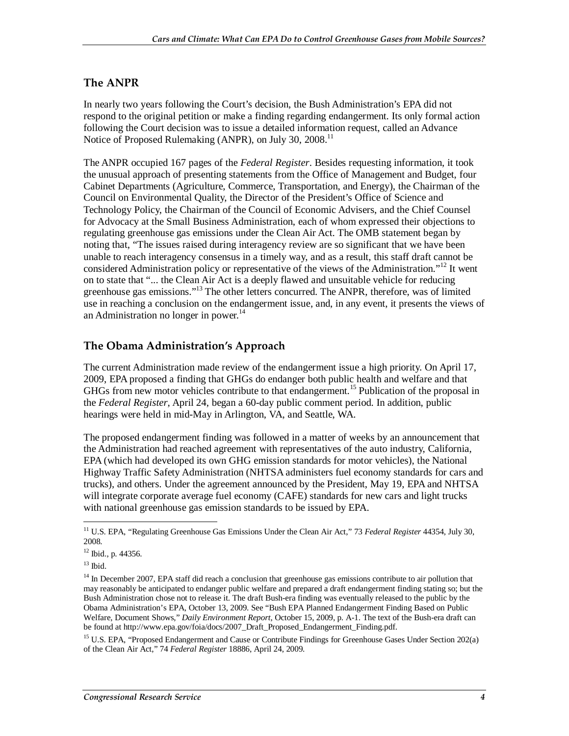### **The ANPR**

In nearly two years following the Court's decision, the Bush Administration's EPA did not respond to the original petition or make a finding regarding endangerment. Its only formal action following the Court decision was to issue a detailed information request, called an Advance Notice of Proposed Rulemaking (ANPR), on July 30, 2008.<sup>11</sup>

The ANPR occupied 167 pages of the *Federal Register*. Besides requesting information, it took the unusual approach of presenting statements from the Office of Management and Budget, four Cabinet Departments (Agriculture, Commerce, Transportation, and Energy), the Chairman of the Council on Environmental Quality, the Director of the President's Office of Science and Technology Policy, the Chairman of the Council of Economic Advisers, and the Chief Counsel for Advocacy at the Small Business Administration, each of whom expressed their objections to regulating greenhouse gas emissions under the Clean Air Act. The OMB statement began by noting that, "The issues raised during interagency review are so significant that we have been unable to reach interagency consensus in a timely way, and as a result, this staff draft cannot be considered Administration policy or representative of the views of the Administration."<sup>12</sup> It went on to state that "... the Clean Air Act is a deeply flawed and unsuitable vehicle for reducing greenhouse gas emissions."13 The other letters concurred. The ANPR, therefore, was of limited use in reaching a conclusion on the endangerment issue, and, in any event, it presents the views of an Administration no longer in power.<sup>14</sup>

### **The Obama Administration's Approach**

The current Administration made review of the endangerment issue a high priority. On April 17, 2009, EPA proposed a finding that GHGs do endanger both public health and welfare and that GHGs from new motor vehicles contribute to that endangerment.<sup>15</sup> Publication of the proposal in the *Federal Register*, April 24, began a 60-day public comment period. In addition, public hearings were held in mid-May in Arlington, VA, and Seattle, WA.

The proposed endangerment finding was followed in a matter of weeks by an announcement that the Administration had reached agreement with representatives of the auto industry, California, EPA (which had developed its own GHG emission standards for motor vehicles), the National Highway Traffic Safety Administration (NHTSA administers fuel economy standards for cars and trucks), and others. Under the agreement announced by the President, May 19, EPA and NHTSA will integrate corporate average fuel economy (CAFE) standards for new cars and light trucks with national greenhouse gas emission standards to be issued by EPA.

<sup>15</sup> U.S. EPA, "Proposed Endangerment and Cause or Contribute Findings for Greenhouse Gases Under Section 202(a) of the Clean Air Act," 74 *Federal Register* 18886, April 24, 2009.

<sup>&</sup>lt;u>.</u> <sup>11</sup> U.S. EPA, "Regulating Greenhouse Gas Emissions Under the Clean Air Act," 73 *Federal Register* 44354, July 30, 2008.

<sup>12</sup> Ibid., p. 44356.

 $^{13}$  Ibid.

<sup>&</sup>lt;sup>14</sup> In December 2007, EPA staff did reach a conclusion that greenhouse gas emissions contribute to air pollution that may reasonably be anticipated to endanger public welfare and prepared a draft endangerment finding stating so; but the Bush Administration chose not to release it. The draft Bush-era finding was eventually released to the public by the Obama Administration's EPA, October 13, 2009. See "Bush EPA Planned Endangerment Finding Based on Public Welfare, Document Shows," *Daily Environment Report*, October 15, 2009, p. A-1. The text of the Bush-era draft can be found at http://www.epa.gov/foia/docs/2007\_Draft\_Proposed\_Endangerment\_Finding.pdf.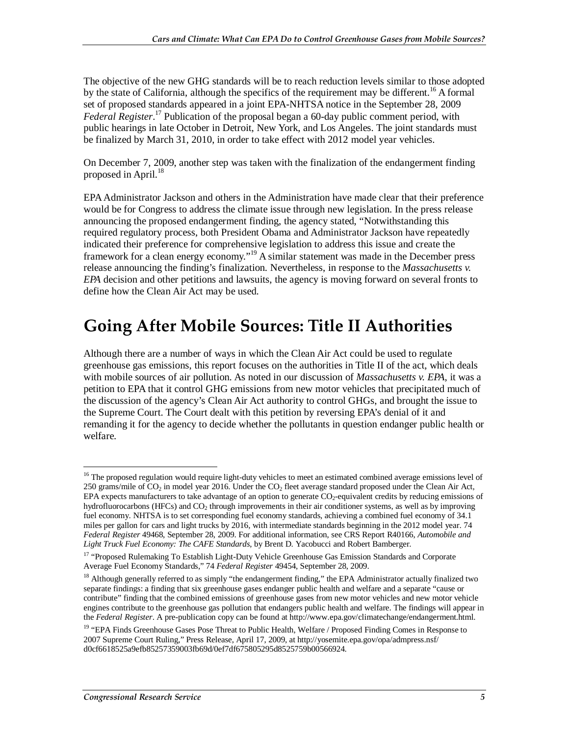The objective of the new GHG standards will be to reach reduction levels similar to those adopted by the state of California, although the specifics of the requirement may be different.<sup>16</sup> A formal set of proposed standards appeared in a joint EPA-NHTSA notice in the September 28, 2009 Federal Register.<sup>17</sup> Publication of the proposal began a 60-day public comment period, with public hearings in late October in Detroit, New York, and Los Angeles. The joint standards must be finalized by March 31, 2010, in order to take effect with 2012 model year vehicles.

On December 7, 2009, another step was taken with the finalization of the endangerment finding proposed in April.<sup>18</sup>

EPA Administrator Jackson and others in the Administration have made clear that their preference would be for Congress to address the climate issue through new legislation. In the press release announcing the proposed endangerment finding, the agency stated, "Notwithstanding this required regulatory process, both President Obama and Administrator Jackson have repeatedly indicated their preference for comprehensive legislation to address this issue and create the framework for a clean energy economy."<sup>19</sup> A similar statement was made in the December press release announcing the finding's finalization. Nevertheless, in response to the *Massachusetts v. EPA* decision and other petitions and lawsuits, the agency is moving forward on several fronts to define how the Clean Air Act may be used.

## **Going After Mobile Sources: Title II Authorities**

Although there are a number of ways in which the Clean Air Act could be used to regulate greenhouse gas emissions, this report focuses on the authorities in Title II of the act, which deals with mobile sources of air pollution. As noted in our discussion of *Massachusetts v. EPA*, it was a petition to EPA that it control GHG emissions from new motor vehicles that precipitated much of the discussion of the agency's Clean Air Act authority to control GHGs, and brought the issue to the Supreme Court. The Court dealt with this petition by reversing EPA's denial of it and remanding it for the agency to decide whether the pollutants in question endanger public health or welfare.

<sup>-</sup><sup>16</sup> The proposed regulation would require light-duty vehicles to meet an estimated combined average emissions level of 250 grams/mile of  $CO_2$  in model year 2016. Under the  $CO_2$  fleet average standard proposed under the Clean Air Act, EPA expects manufacturers to take advantage of an option to generate  $CO<sub>2</sub>$ -equivalent credits by reducing emissions of hydrofluorocarbons (HFCs) and  $CO<sub>2</sub>$  through improvements in their air conditioner systems, as well as by improving fuel economy. NHTSA is to set corresponding fuel economy standards, achieving a combined fuel economy of 34.1 miles per gallon for cars and light trucks by 2016, with intermediate standards beginning in the 2012 model year. 74 *Federal Register* 49468, September 28, 2009. For additional information, see CRS Report R40166, *Automobile and Light Truck Fuel Economy: The CAFE Standards*, by Brent D. Yacobucci and Robert Bamberger.

<sup>&</sup>lt;sup>17</sup> "Proposed Rulemaking To Establish Light-Duty Vehicle Greenhouse Gas Emission Standards and Corporate Average Fuel Economy Standards," 74 *Federal Register* 49454, September 28, 2009.

<sup>&</sup>lt;sup>18</sup> Although generally referred to as simply "the endangerment finding," the EPA Administrator actually finalized two separate findings: a finding that six greenhouse gases endanger public health and welfare and a separate "cause or contribute" finding that the combined emissions of greenhouse gases from new motor vehicles and new motor vehicle engines contribute to the greenhouse gas pollution that endangers public health and welfare. The findings will appear in the *Federal Register*. A pre-publication copy can be found at http://www.epa.gov/climatechange/endangerment.html.

<sup>&</sup>lt;sup>19</sup> "EPA Finds Greenhouse Gases Pose Threat to Public Health, Welfare / Proposed Finding Comes in Response to 2007 Supreme Court Ruling," Press Release, April 17, 2009, at http://yosemite.epa.gov/opa/admpress.nsf/ d0cf6618525a9efb85257359003fb69d/0ef7df675805295d8525759b00566924.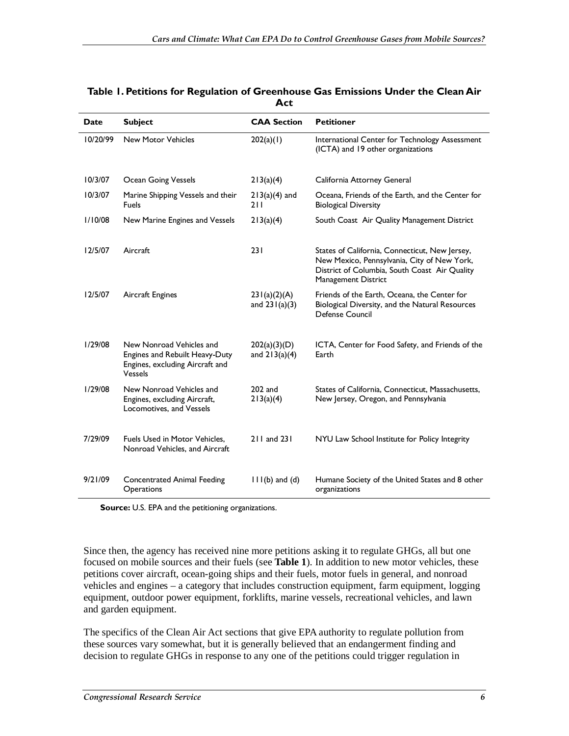| <b>Date</b> | <b>Subject</b>                                                                                                  | <b>CAA Section</b>              | <b>Petitioner</b>                                                                                                                                                     |
|-------------|-----------------------------------------------------------------------------------------------------------------|---------------------------------|-----------------------------------------------------------------------------------------------------------------------------------------------------------------------|
| 10/20/99    | <b>New Motor Vehicles</b>                                                                                       | 202(a)(1)                       | International Center for Technology Assessment<br>(ICTA) and 19 other organizations                                                                                   |
| 10/3/07     | <b>Ocean Going Vessels</b>                                                                                      | 213(a)(4)                       | California Attorney General                                                                                                                                           |
| 10/3/07     | Marine Shipping Vessels and their<br>Fuels                                                                      | $213(a)(4)$ and<br>211          | Oceana, Friends of the Earth, and the Center for<br><b>Biological Diversity</b>                                                                                       |
| 1/10/08     | New Marine Engines and Vessels                                                                                  | 213(a)(4)                       | South Coast Air Quality Management District                                                                                                                           |
| 12/5/07     | Aircraft                                                                                                        | 231                             | States of California, Connecticut, New Jersey,<br>New Mexico, Pennsylvania, City of New York,<br>District of Columbia, South Coast Air Quality<br>Management District |
| 12/5/07     | Aircraft Engines                                                                                                | 231(a)(2)(A)<br>and $231(a)(3)$ | Friends of the Earth, Oceana, the Center for<br>Biological Diversity, and the Natural Resources<br>Defense Council                                                    |
| 1/29/08     | New Nonroad Vehicles and<br>Engines and Rebuilt Heavy-Duty<br>Engines, excluding Aircraft and<br><b>Vessels</b> | 202(a)(3)(D)<br>and $213(a)(4)$ | ICTA, Center for Food Safety, and Friends of the<br>Earth                                                                                                             |
| 1/29/08     | New Nonroad Vehicles and<br>Engines, excluding Aircraft,<br>Locomotives, and Vessels                            | $202$ and<br>213(a)(4)          | States of California, Connecticut, Massachusetts,<br>New Jersey, Oregon, and Pennsylvania                                                                             |
| 7/29/09     | Fuels Used in Motor Vehicles,<br>Nonroad Vehicles, and Aircraft                                                 | 211 and 231                     | NYU Law School Institute for Policy Integrity                                                                                                                         |
| 9/21/09     | <b>Concentrated Animal Feeding</b><br>Operations                                                                | $11(6)$ and $(d)$               | Humane Society of the United States and 8 other<br>organizations                                                                                                      |

#### **Table 1. Petitions for Regulation of Greenhouse Gas Emissions Under the Clean Air Act**

**Source:** U.S. EPA and the petitioning organizations.

Since then, the agency has received nine more petitions asking it to regulate GHGs, all but one focused on mobile sources and their fuels (see **Table 1**). In addition to new motor vehicles, these petitions cover aircraft, ocean-going ships and their fuels, motor fuels in general, and nonroad vehicles and engines – a category that includes construction equipment, farm equipment, logging equipment, outdoor power equipment, forklifts, marine vessels, recreational vehicles, and lawn and garden equipment.

The specifics of the Clean Air Act sections that give EPA authority to regulate pollution from these sources vary somewhat, but it is generally believed that an endangerment finding and decision to regulate GHGs in response to any one of the petitions could trigger regulation in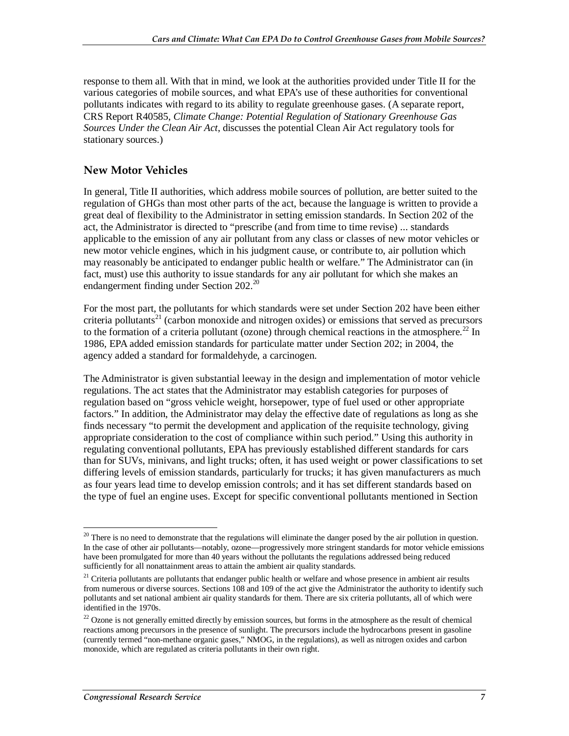response to them all. With that in mind, we look at the authorities provided under Title II for the various categories of mobile sources, and what EPA's use of these authorities for conventional pollutants indicates with regard to its ability to regulate greenhouse gases. (A separate report, CRS Report R40585, *Climate Change: Potential Regulation of Stationary Greenhouse Gas Sources Under the Clean Air Act*, discusses the potential Clean Air Act regulatory tools for stationary sources.)

### **New Motor Vehicles**

In general, Title II authorities, which address mobile sources of pollution, are better suited to the regulation of GHGs than most other parts of the act, because the language is written to provide a great deal of flexibility to the Administrator in setting emission standards. In Section 202 of the act, the Administrator is directed to "prescribe (and from time to time revise) ... standards applicable to the emission of any air pollutant from any class or classes of new motor vehicles or new motor vehicle engines, which in his judgment cause, or contribute to, air pollution which may reasonably be anticipated to endanger public health or welfare." The Administrator can (in fact, must) use this authority to issue standards for any air pollutant for which she makes an endangerment finding under Section  $202.^{20}$ 

For the most part, the pollutants for which standards were set under Section 202 have been either criteria pollutants<sup>21</sup> (carbon monoxide and nitrogen oxides) or emissions that served as precursors to the formation of a criteria pollutant (ozone) through chemical reactions in the atmosphere.<sup>22</sup> In 1986, EPA added emission standards for particulate matter under Section 202; in 2004, the agency added a standard for formaldehyde, a carcinogen.

The Administrator is given substantial leeway in the design and implementation of motor vehicle regulations. The act states that the Administrator may establish categories for purposes of regulation based on "gross vehicle weight, horsepower, type of fuel used or other appropriate factors." In addition, the Administrator may delay the effective date of regulations as long as she finds necessary "to permit the development and application of the requisite technology, giving appropriate consideration to the cost of compliance within such period." Using this authority in regulating conventional pollutants, EPA has previously established different standards for cars than for SUVs, minivans, and light trucks; often, it has used weight or power classifications to set differing levels of emission standards, particularly for trucks; it has given manufacturers as much as four years lead time to develop emission controls; and it has set different standards based on the type of fuel an engine uses. Except for specific conventional pollutants mentioned in Section

<sup>&</sup>lt;u>.</u>  $20$  There is no need to demonstrate that the regulations will eliminate the danger posed by the air pollution in question. In the case of other air pollutants—notably, ozone—progressively more stringent standards for motor vehicle emissions have been promulgated for more than 40 years without the pollutants the regulations addressed being reduced sufficiently for all nonattainment areas to attain the ambient air quality standards.

 $21$  Criteria pollutants are pollutants that endanger public health or welfare and whose presence in ambient air results from numerous or diverse sources. Sections 108 and 109 of the act give the Administrator the authority to identify such pollutants and set national ambient air quality standards for them. There are six criteria pollutants, all of which were identified in the 1970s.

 $22$  Ozone is not generally emitted directly by emission sources, but forms in the atmosphere as the result of chemical reactions among precursors in the presence of sunlight. The precursors include the hydrocarbons present in gasoline (currently termed "non-methane organic gases," NMOG, in the regulations), as well as nitrogen oxides and carbon monoxide, which are regulated as criteria pollutants in their own right.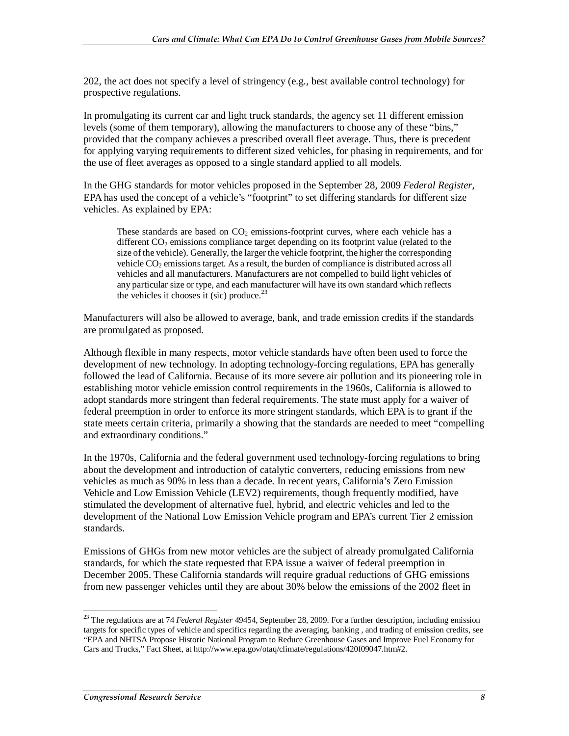202, the act does not specify a level of stringency (e.g., best available control technology) for prospective regulations.

In promulgating its current car and light truck standards, the agency set 11 different emission levels (some of them temporary), allowing the manufacturers to choose any of these "bins," provided that the company achieves a prescribed overall fleet average. Thus, there is precedent for applying varying requirements to different sized vehicles, for phasing in requirements, and for the use of fleet averages as opposed to a single standard applied to all models.

In the GHG standards for motor vehicles proposed in the September 28, 2009 *Federal Register*, EPA has used the concept of a vehicle's "footprint" to set differing standards for different size vehicles. As explained by EPA:

These standards are based on  $CO<sub>2</sub>$  emissions-footprint curves, where each vehicle has a different  $CO<sub>2</sub>$  emissions compliance target depending on its footprint value (related to the size of the vehicle). Generally, the larger the vehicle footprint, the higher the corresponding vehicle  $CO<sub>2</sub>$  emissions target. As a result, the burden of compliance is distributed across all vehicles and all manufacturers. Manufacturers are not compelled to build light vehicles of any particular size or type, and each manufacturer will have its own standard which reflects the vehicles it chooses it (sic) produce.<sup>23</sup>

Manufacturers will also be allowed to average, bank, and trade emission credits if the standards are promulgated as proposed.

Although flexible in many respects, motor vehicle standards have often been used to force the development of new technology. In adopting technology-forcing regulations, EPA has generally followed the lead of California. Because of its more severe air pollution and its pioneering role in establishing motor vehicle emission control requirements in the 1960s, California is allowed to adopt standards more stringent than federal requirements. The state must apply for a waiver of federal preemption in order to enforce its more stringent standards, which EPA is to grant if the state meets certain criteria, primarily a showing that the standards are needed to meet "compelling and extraordinary conditions."

In the 1970s, California and the federal government used technology-forcing regulations to bring about the development and introduction of catalytic converters, reducing emissions from new vehicles as much as 90% in less than a decade. In recent years, California's Zero Emission Vehicle and Low Emission Vehicle (LEV2) requirements, though frequently modified, have stimulated the development of alternative fuel, hybrid, and electric vehicles and led to the development of the National Low Emission Vehicle program and EPA's current Tier 2 emission standards.

Emissions of GHGs from new motor vehicles are the subject of already promulgated California standards, for which the state requested that EPA issue a waiver of federal preemption in December 2005. These California standards will require gradual reductions of GHG emissions from new passenger vehicles until they are about 30% below the emissions of the 2002 fleet in

<sup>-</sup>23 The regulations are at 74 *Federal Register* 49454, September 28, 2009. For a further description, including emission targets for specific types of vehicle and specifics regarding the averaging, banking , and trading of emission credits, see "EPA and NHTSA Propose Historic National Program to Reduce Greenhouse Gases and Improve Fuel Economy for Cars and Trucks," Fact Sheet, at http://www.epa.gov/otaq/climate/regulations/420f09047.htm#2.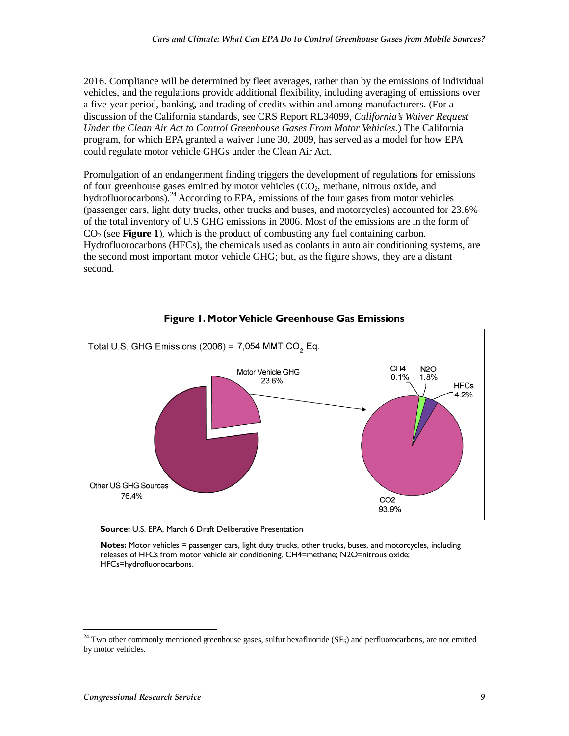2016. Compliance will be determined by fleet averages, rather than by the emissions of individual vehicles, and the regulations provide additional flexibility, including averaging of emissions over a five-year period, banking, and trading of credits within and among manufacturers. (For a discussion of the California standards, see CRS Report RL34099, *California's Waiver Request Under the Clean Air Act to Control Greenhouse Gases From Motor Vehicles*.) The California program, for which EPA granted a waiver June 30, 2009, has served as a model for how EPA could regulate motor vehicle GHGs under the Clean Air Act.

Promulgation of an endangerment finding triggers the development of regulations for emissions of four greenhouse gases emitted by motor vehicles  $(CO<sub>2</sub>)$ , methane, nitrous oxide, and hydrofluorocarbons).<sup>24</sup> According to EPA, emissions of the four gases from motor vehicles (passenger cars, light duty trucks, other trucks and buses, and motorcycles) accounted for 23.6% of the total inventory of U.S GHG emissions in 2006. Most of the emissions are in the form of  $CO<sub>2</sub>$  (see **Figure 1**), which is the product of combusting any fuel containing carbon. Hydrofluorocarbons (HFCs), the chemicals used as coolants in auto air conditioning systems, are the second most important motor vehicle GHG; but, as the figure shows, they are a distant second.



### **Figure 1. Motor Vehicle Greenhouse Gas Emissions**

**Source:** U.S. EPA, March 6 Draft Deliberative Presentation

**Notes:** Motor vehicles = passenger cars, light duty trucks, other trucks, buses, and motorcycles, including releases of HFCs from motor vehicle air conditioning. CH4=methane; N2O=nitrous oxide; HFCs=hydrofluorocarbons.

-

 $24$  Two other commonly mentioned greenhouse gases, sulfur hexafluoride (SF<sub>6</sub>) and perfluorocarbons, are not emitted by motor vehicles.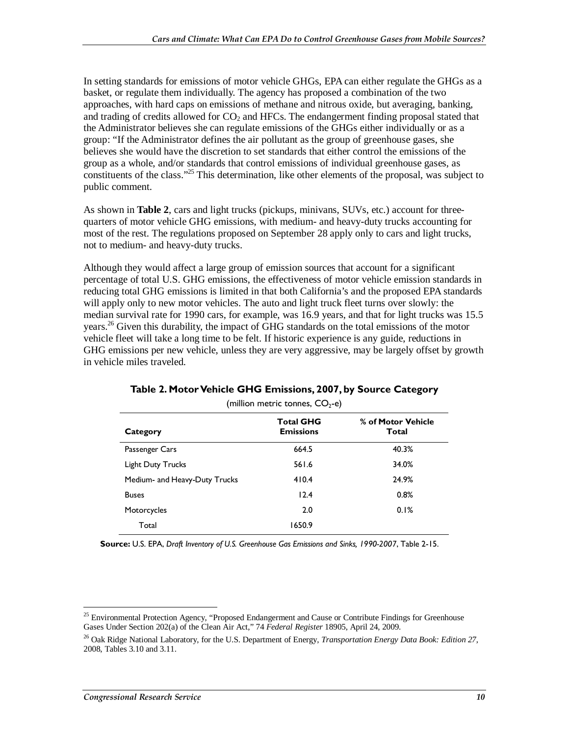In setting standards for emissions of motor vehicle GHGs, EPA can either regulate the GHGs as a basket, or regulate them individually. The agency has proposed a combination of the two approaches, with hard caps on emissions of methane and nitrous oxide, but averaging, banking, and trading of credits allowed for  $CO<sub>2</sub>$  and HFCs. The endangerment finding proposal stated that the Administrator believes she can regulate emissions of the GHGs either individually or as a group: "If the Administrator defines the air pollutant as the group of greenhouse gases, she believes she would have the discretion to set standards that either control the emissions of the group as a whole, and/or standards that control emissions of individual greenhouse gases, as constituents of the class."<sup>25</sup> This determination, like other elements of the proposal, was subject to public comment.

As shown in **Table 2**, cars and light trucks (pickups, minivans, SUVs, etc.) account for threequarters of motor vehicle GHG emissions, with medium- and heavy-duty trucks accounting for most of the rest. The regulations proposed on September 28 apply only to cars and light trucks, not to medium- and heavy-duty trucks.

Although they would affect a large group of emission sources that account for a significant percentage of total U.S. GHG emissions, the effectiveness of motor vehicle emission standards in reducing total GHG emissions is limited in that both California's and the proposed EPA standards will apply only to new motor vehicles. The auto and light truck fleet turns over slowly: the median survival rate for 1990 cars, for example, was 16.9 years, and that for light trucks was 15.5 years.<sup>26</sup> Given this durability, the impact of GHG standards on the total emissions of the motor vehicle fleet will take a long time to be felt. If historic experience is any guide, reductions in GHG emissions per new vehicle, unless they are very aggressive, may be largely offset by growth in vehicle miles traveled.

| Category                      | <b>Total GHG</b><br><b>Emissions</b> | % of Motor Vehicle<br>Total |
|-------------------------------|--------------------------------------|-----------------------------|
| Passenger Cars                | 664.5                                | 40.3%                       |
| <b>Light Duty Trucks</b>      | 561.6                                | 34.0%                       |
| Medium- and Heavy-Duty Trucks | 410.4                                | 24.9%                       |
| <b>Buses</b>                  | 12.4                                 | 0.8%                        |
| Motorcycles                   | 2.0                                  | 0.1%                        |
| Total                         | 1650.9                               |                             |

### **Table 2. Motor Vehicle GHG Emissions, 2007, by Source Category**  (million metric tonnes,  $CO<sub>2</sub>$ -e)

**Source:** U.S. EPA, *Draft Inventory of U.S. Greenhouse Gas Emissions and Sinks, 1990-2007*, Table 2-15.

-

<sup>&</sup>lt;sup>25</sup> Environmental Protection Agency, "Proposed Endangerment and Cause or Contribute Findings for Greenhouse Gases Under Section 202(a) of the Clean Air Act," 74 *Federal Register* 18905, April 24, 2009.

<sup>26</sup> Oak Ridge National Laboratory, for the U.S. Department of Energy, *Transportation Energy Data Book: Edition 27*, 2008, Tables 3.10 and 3.11.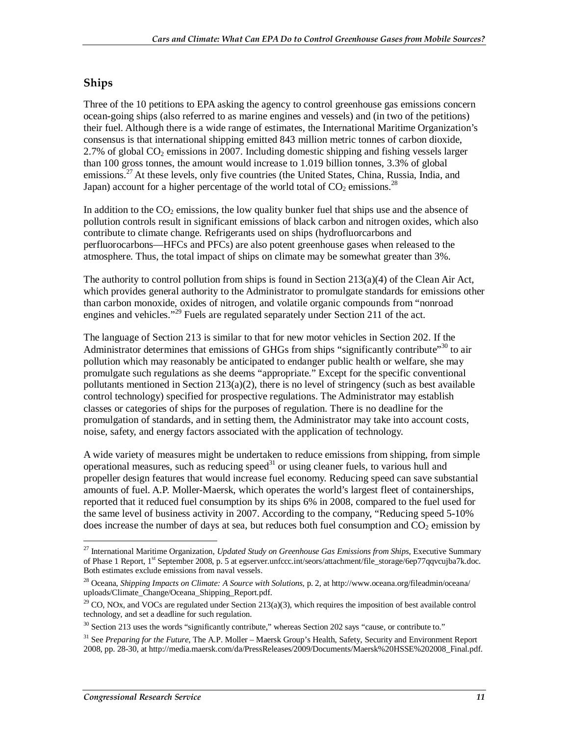### **Ships**

Three of the 10 petitions to EPA asking the agency to control greenhouse gas emissions concern ocean-going ships (also referred to as marine engines and vessels) and (in two of the petitions) their fuel. Although there is a wide range of estimates, the International Maritime Organization's consensus is that international shipping emitted 843 million metric tonnes of carbon dioxide, 2.7% of global  $CO<sub>2</sub>$  emissions in 2007. Including domestic shipping and fishing vessels larger than 100 gross tonnes, the amount would increase to 1.019 billion tonnes, 3.3% of global emissions.<sup>27</sup> At these levels, only five countries (the United States, China, Russia, India, and Japan) account for a higher percentage of the world total of  $CO<sub>2</sub>$  emissions.<sup>28</sup>

In addition to the  $CO<sub>2</sub>$  emissions, the low quality bunker fuel that ships use and the absence of pollution controls result in significant emissions of black carbon and nitrogen oxides, which also contribute to climate change. Refrigerants used on ships (hydrofluorcarbons and perfluorocarbons—HFCs and PFCs) are also potent greenhouse gases when released to the atmosphere. Thus, the total impact of ships on climate may be somewhat greater than 3%.

The authority to control pollution from ships is found in Section  $213(a)(4)$  of the Clean Air Act, which provides general authority to the Administrator to promulgate standards for emissions other than carbon monoxide, oxides of nitrogen, and volatile organic compounds from "nonroad engines and vehicles."<sup>29</sup> Fuels are regulated separately under Section 211 of the act.

The language of Section 213 is similar to that for new motor vehicles in Section 202. If the Administrator determines that emissions of GHGs from ships "significantly contribute"<sup>30</sup> to air pollution which may reasonably be anticipated to endanger public health or welfare, she may promulgate such regulations as she deems "appropriate." Except for the specific conventional pollutants mentioned in Section 213(a)(2), there is no level of stringency (such as best available control technology) specified for prospective regulations. The Administrator may establish classes or categories of ships for the purposes of regulation. There is no deadline for the promulgation of standards, and in setting them, the Administrator may take into account costs, noise, safety, and energy factors associated with the application of technology.

A wide variety of measures might be undertaken to reduce emissions from shipping, from simple operational measures, such as reducing speed $31$  or using cleaner fuels, to various hull and propeller design features that would increase fuel economy. Reducing speed can save substantial amounts of fuel. A.P. Moller-Maersk, which operates the world's largest fleet of containerships, reported that it reduced fuel consumption by its ships 6% in 2008, compared to the fuel used for the same level of business activity in 2007. According to the company, "Reducing speed 5-10% does increase the number of days at sea, but reduces both fuel consumption and  $CO<sub>2</sub>$  emission by

<sup>&</sup>lt;u>.</u> 27 International Maritime Organization, *Updated Study on Greenhouse Gas Emissions from Ships*, Executive Summary of Phase 1 Report, 1<sup>st</sup> September 2008, p. 5 at egserver.unfccc.int/seors/attachment/file\_storage/6ep77qqvcujba7k.doc. Both estimates exclude emissions from naval vessels.

<sup>28</sup> Oceana, *Shipping Impacts on Climate: A Source with Solutions*, p. 2, at http://www.oceana.org/fileadmin/oceana/ uploads/Climate\_Change/Oceana\_Shipping\_Report.pdf.

 $^{29}$  CO, NOx, and VOCs are regulated under Section 213(a)(3), which requires the imposition of best available control technology, and set a deadline for such regulation.

 $30$  Section 213 uses the words "significantly contribute," whereas Section 202 says "cause, or contribute to."

<sup>&</sup>lt;sup>31</sup> See *Preparing for the Future*, The A.P. Moller – Maersk Group's Health, Safety, Security and Environment Report 2008, pp. 28-30, at http://media.maersk.com/da/PressReleases/2009/Documents/Maersk%20HSSE%202008\_Final.pdf.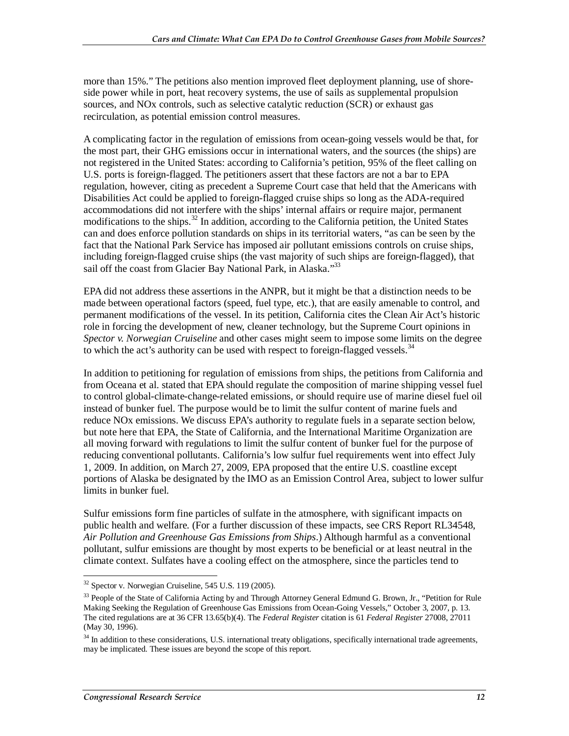more than 15%." The petitions also mention improved fleet deployment planning, use of shoreside power while in port, heat recovery systems, the use of sails as supplemental propulsion sources, and NOx controls, such as selective catalytic reduction (SCR) or exhaust gas recirculation, as potential emission control measures.

A complicating factor in the regulation of emissions from ocean-going vessels would be that, for the most part, their GHG emissions occur in international waters, and the sources (the ships) are not registered in the United States: according to California's petition, 95% of the fleet calling on U.S. ports is foreign-flagged. The petitioners assert that these factors are not a bar to EPA regulation, however, citing as precedent a Supreme Court case that held that the Americans with Disabilities Act could be applied to foreign-flagged cruise ships so long as the ADA-required accommodations did not interfere with the ships' internal affairs or require major, permanent modifications to the ships.<sup>32</sup> In addition, according to the California petition, the United States can and does enforce pollution standards on ships in its territorial waters, "as can be seen by the fact that the National Park Service has imposed air pollutant emissions controls on cruise ships, including foreign-flagged cruise ships (the vast majority of such ships are foreign-flagged), that sail off the coast from Glacier Bay National Park, in Alaska."<sup>33</sup>

EPA did not address these assertions in the ANPR, but it might be that a distinction needs to be made between operational factors (speed, fuel type, etc.), that are easily amenable to control, and permanent modifications of the vessel. In its petition, California cites the Clean Air Act's historic role in forcing the development of new, cleaner technology, but the Supreme Court opinions in *Spector v. Norwegian Cruiseline* and other cases might seem to impose some limits on the degree to which the act's authority can be used with respect to foreign-flagged vessels.<sup>34</sup>

In addition to petitioning for regulation of emissions from ships, the petitions from California and from Oceana et al. stated that EPA should regulate the composition of marine shipping vessel fuel to control global-climate-change-related emissions, or should require use of marine diesel fuel oil instead of bunker fuel. The purpose would be to limit the sulfur content of marine fuels and reduce NOx emissions. We discuss EPA's authority to regulate fuels in a separate section below, but note here that EPA, the State of California, and the International Maritime Organization are all moving forward with regulations to limit the sulfur content of bunker fuel for the purpose of reducing conventional pollutants. California's low sulfur fuel requirements went into effect July 1, 2009. In addition, on March 27, 2009, EPA proposed that the entire U.S. coastline except portions of Alaska be designated by the IMO as an Emission Control Area, subject to lower sulfur limits in bunker fuel.

Sulfur emissions form fine particles of sulfate in the atmosphere, with significant impacts on public health and welfare. (For a further discussion of these impacts, see CRS Report RL34548, *Air Pollution and Greenhouse Gas Emissions from Ships*.) Although harmful as a conventional pollutant, sulfur emissions are thought by most experts to be beneficial or at least neutral in the climate context. Sulfates have a cooling effect on the atmosphere, since the particles tend to

 $\overline{a}$  $32$  Spector v. Norwegian Cruiseline, 545 U.S. 119 (2005).

<sup>&</sup>lt;sup>33</sup> People of the State of California Acting by and Through Attorney General Edmund G. Brown, Jr., "Petition for Rule Making Seeking the Regulation of Greenhouse Gas Emissions from Ocean-Going Vessels," October 3, 2007, p. 13. The cited regulations are at 36 CFR 13.65(b)(4). The *Federal Register* citation is 61 *Federal Register* 27008, 27011 (May 30, 1996).

<sup>&</sup>lt;sup>34</sup> In addition to these considerations, U.S. international treaty obligations, specifically international trade agreements, may be implicated. These issues are beyond the scope of this report.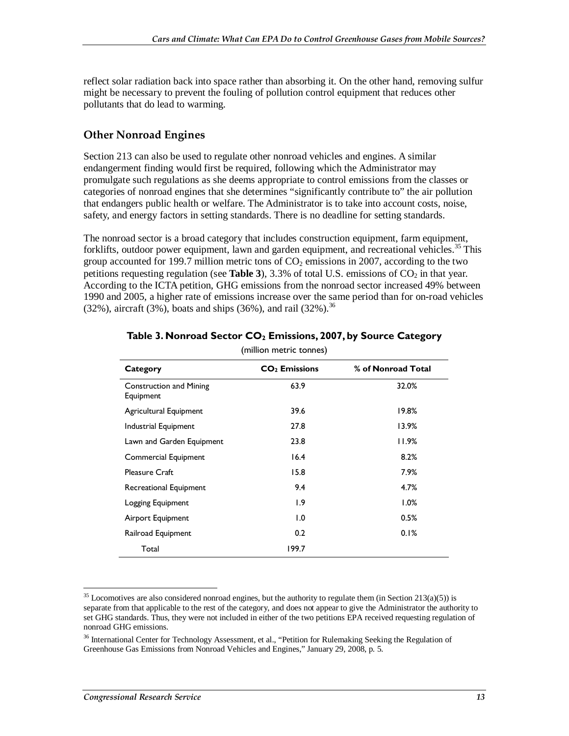reflect solar radiation back into space rather than absorbing it. On the other hand, removing sulfur might be necessary to prevent the fouling of pollution control equipment that reduces other pollutants that do lead to warming.

### **Other Nonroad Engines**

Section 213 can also be used to regulate other nonroad vehicles and engines. A similar endangerment finding would first be required, following which the Administrator may promulgate such regulations as she deems appropriate to control emissions from the classes or categories of nonroad engines that she determines "significantly contribute to" the air pollution that endangers public health or welfare. The Administrator is to take into account costs, noise, safety, and energy factors in setting standards. There is no deadline for setting standards.

The nonroad sector is a broad category that includes construction equipment, farm equipment, forklifts, outdoor power equipment, lawn and garden equipment, and recreational vehicles.<sup>35</sup> This group accounted for 199.7 million metric tons of  $CO<sub>2</sub>$  emissions in 2007, according to the two petitions requesting regulation (see **Table 3**), 3.3% of total U.S. emissions of  $CO<sub>2</sub>$  in that year. According to the ICTA petition, GHG emissions from the nonroad sector increased 49% between 1990 and 2005, a higher rate of emissions increase over the same period than for on-road vehicles (32%), aircraft (3%), boats and ships (36%), and rail (32%).<sup>36</sup>

| Category                                    | $CO2$ Emissions | % of Nonroad Total |
|---------------------------------------------|-----------------|--------------------|
| <b>Construction and Mining</b><br>Equipment | 63.9            | 32.0%              |
| Agricultural Equipment                      | 39.6            | 19.8%              |
| Industrial Equipment                        | 27.8            | 13.9%              |
| Lawn and Garden Equipment                   | 23.8            | 11.9%              |
| Commercial Equipment                        | 16.4            | 8.2%               |
| <b>Pleasure Craft</b>                       | 15.8            | 7.9%               |
| Recreational Equipment                      | 9.4             | 4.7%               |
| Logging Equipment                           | 1.9             | $1.0\%$            |
| Airport Equipment                           | 1.0             | 0.5%               |
| Railroad Equipment                          | 0.2             | 0.1%               |
| Total                                       | 199.7           |                    |
|                                             |                 |                    |

#### Table 3. Nonroad Sector CO<sub>2</sub> Emissions, 2007, by Source Category (million metric tonnes)

-

 $35$  Locomotives are also considered nonroad engines, but the authority to regulate them (in Section 213(a)(5)) is separate from that applicable to the rest of the category, and does not appear to give the Administrator the authority to set GHG standards. Thus, they were not included in either of the two petitions EPA received requesting regulation of nonroad GHG emissions.

<sup>&</sup>lt;sup>36</sup> International Center for Technology Assessment, et al., "Petition for Rulemaking Seeking the Regulation of Greenhouse Gas Emissions from Nonroad Vehicles and Engines," January 29, 2008, p. 5.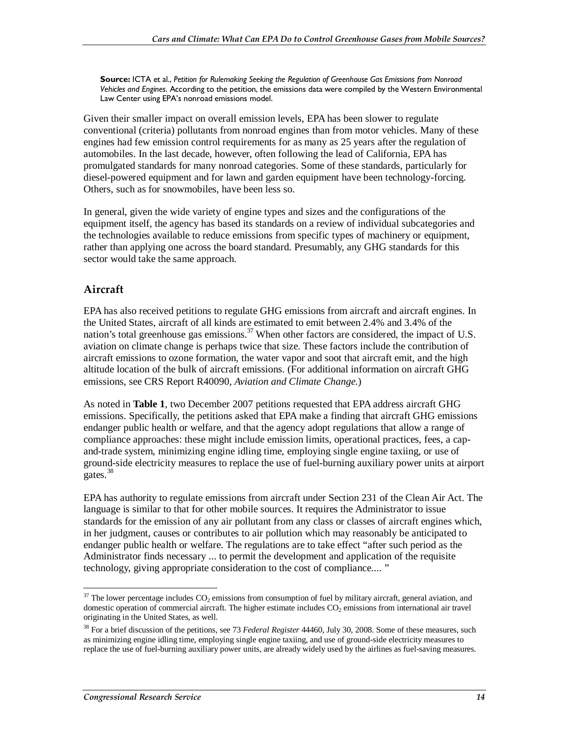**Source:** ICTA et al., *Petition for Rulemaking Seeking the Regulation of Greenhouse Gas Emissions from Nonroad Vehicles and Engines*. According to the petition, the emissions data were compiled by the Western Environmental Law Center using EPA's nonroad emissions model.

Given their smaller impact on overall emission levels, EPA has been slower to regulate conventional (criteria) pollutants from nonroad engines than from motor vehicles. Many of these engines had few emission control requirements for as many as 25 years after the regulation of automobiles. In the last decade, however, often following the lead of California, EPA has promulgated standards for many nonroad categories. Some of these standards, particularly for diesel-powered equipment and for lawn and garden equipment have been technology-forcing. Others, such as for snowmobiles, have been less so.

In general, given the wide variety of engine types and sizes and the configurations of the equipment itself, the agency has based its standards on a review of individual subcategories and the technologies available to reduce emissions from specific types of machinery or equipment, rather than applying one across the board standard. Presumably, any GHG standards for this sector would take the same approach.

### **Aircraft**

EPA has also received petitions to regulate GHG emissions from aircraft and aircraft engines. In the United States, aircraft of all kinds are estimated to emit between 2.4% and 3.4% of the nation's total greenhouse gas emissions.<sup>37</sup> When other factors are considered, the impact of U.S. aviation on climate change is perhaps twice that size. These factors include the contribution of aircraft emissions to ozone formation, the water vapor and soot that aircraft emit, and the high altitude location of the bulk of aircraft emissions. (For additional information on aircraft GHG emissions, see CRS Report R40090, *Aviation and Climate Change*.)

As noted in **Table 1**, two December 2007 petitions requested that EPA address aircraft GHG emissions. Specifically, the petitions asked that EPA make a finding that aircraft GHG emissions endanger public health or welfare, and that the agency adopt regulations that allow a range of compliance approaches: these might include emission limits, operational practices, fees, a capand-trade system, minimizing engine idling time, employing single engine taxiing, or use of ground-side electricity measures to replace the use of fuel-burning auxiliary power units at airport gates.<sup>38</sup>

EPA has authority to regulate emissions from aircraft under Section 231 of the Clean Air Act. The language is similar to that for other mobile sources. It requires the Administrator to issue standards for the emission of any air pollutant from any class or classes of aircraft engines which, in her judgment, causes or contributes to air pollution which may reasonably be anticipated to endanger public health or welfare. The regulations are to take effect "after such period as the Administrator finds necessary ... to permit the development and application of the requisite technology, giving appropriate consideration to the cost of compliance.... "

<sup>-</sup> $37$  The lower percentage includes  $CO_2$  emissions from consumption of fuel by military aircraft, general aviation, and domestic operation of commercial aircraft. The higher estimate includes  $CO<sub>2</sub>$  emissions from international air travel originating in the United States, as well.

<sup>38</sup> For a brief discussion of the petitions, see 73 *Federal Register* 44460, July 30, 2008. Some of these measures, such as minimizing engine idling time, employing single engine taxiing, and use of ground-side electricity measures to replace the use of fuel-burning auxiliary power units, are already widely used by the airlines as fuel-saving measures.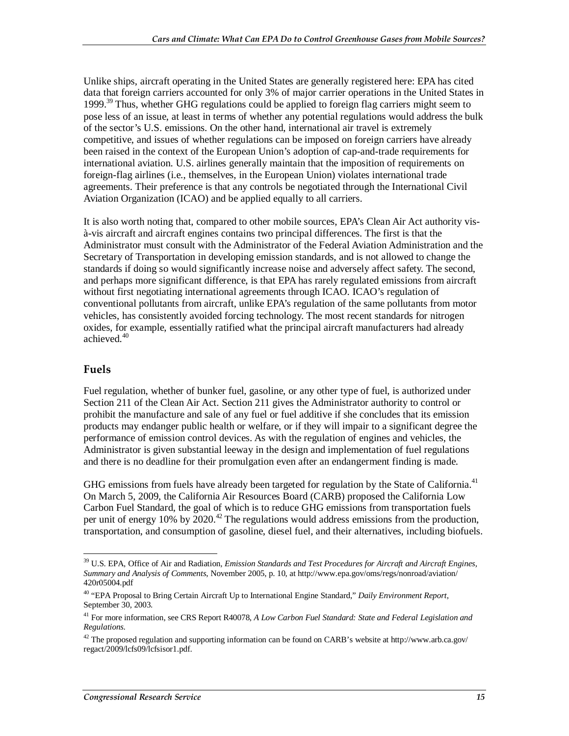Unlike ships, aircraft operating in the United States are generally registered here: EPA has cited data that foreign carriers accounted for only 3% of major carrier operations in the United States in 1999.<sup>39</sup> Thus, whether GHG regulations could be applied to foreign flag carriers might seem to pose less of an issue, at least in terms of whether any potential regulations would address the bulk of the sector's U.S. emissions. On the other hand, international air travel is extremely competitive, and issues of whether regulations can be imposed on foreign carriers have already been raised in the context of the European Union's adoption of cap-and-trade requirements for international aviation. U.S. airlines generally maintain that the imposition of requirements on foreign-flag airlines (i.e., themselves, in the European Union) violates international trade agreements. Their preference is that any controls be negotiated through the International Civil Aviation Organization (ICAO) and be applied equally to all carriers.

It is also worth noting that, compared to other mobile sources, EPA's Clean Air Act authority visà-vis aircraft and aircraft engines contains two principal differences. The first is that the Administrator must consult with the Administrator of the Federal Aviation Administration and the Secretary of Transportation in developing emission standards, and is not allowed to change the standards if doing so would significantly increase noise and adversely affect safety. The second, and perhaps more significant difference, is that EPA has rarely regulated emissions from aircraft without first negotiating international agreements through ICAO. ICAO's regulation of conventional pollutants from aircraft, unlike EPA's regulation of the same pollutants from motor vehicles, has consistently avoided forcing technology. The most recent standards for nitrogen oxides, for example, essentially ratified what the principal aircraft manufacturers had already achieved.40

#### **Fuels**

-

Fuel regulation, whether of bunker fuel, gasoline, or any other type of fuel, is authorized under Section 211 of the Clean Air Act. Section 211 gives the Administrator authority to control or prohibit the manufacture and sale of any fuel or fuel additive if she concludes that its emission products may endanger public health or welfare, or if they will impair to a significant degree the performance of emission control devices. As with the regulation of engines and vehicles, the Administrator is given substantial leeway in the design and implementation of fuel regulations and there is no deadline for their promulgation even after an endangerment finding is made.

GHG emissions from fuels have already been targeted for regulation by the State of California.<sup>41</sup> On March 5, 2009, the California Air Resources Board (CARB) proposed the California Low Carbon Fuel Standard, the goal of which is to reduce GHG emissions from transportation fuels per unit of energy 10% by  $2020$ <sup>42</sup>. The regulations would address emissions from the production, transportation, and consumption of gasoline, diesel fuel, and their alternatives, including biofuels.

<sup>&</sup>lt;sup>39</sup> U.S. EPA, Office of Air and Radiation, *Emission Standards and Test Procedures for Aircraft and Aircraft Engines, Summary and Analysis of Comments*, November 2005, p. 10, at http://www.epa.gov/oms/regs/nonroad/aviation/ 420r05004.pdf

<sup>40 &</sup>quot;EPA Proposal to Bring Certain Aircraft Up to International Engine Standard," *Daily Environment Report*, September 30, 2003.

<sup>41</sup> For more information, see CRS Report R40078, *A Low Carbon Fuel Standard: State and Federal Legislation and Regulations*.

<sup>&</sup>lt;sup>42</sup> The proposed regulation and supporting information can be found on CARB's website at http://www.arb.ca.gov/ regact/2009/lcfs09/lcfsisor1.pdf.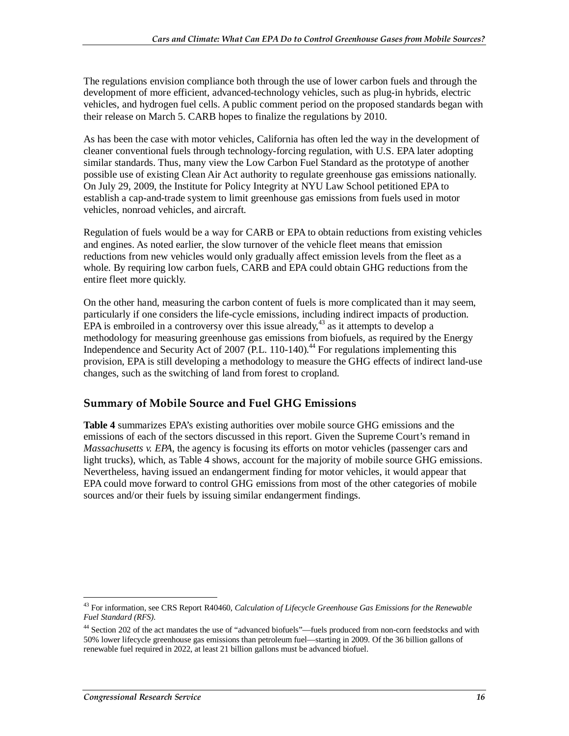The regulations envision compliance both through the use of lower carbon fuels and through the development of more efficient, advanced-technology vehicles, such as plug-in hybrids, electric vehicles, and hydrogen fuel cells. A public comment period on the proposed standards began with their release on March 5. CARB hopes to finalize the regulations by 2010.

As has been the case with motor vehicles, California has often led the way in the development of cleaner conventional fuels through technology-forcing regulation, with U.S. EPA later adopting similar standards. Thus, many view the Low Carbon Fuel Standard as the prototype of another possible use of existing Clean Air Act authority to regulate greenhouse gas emissions nationally. On July 29, 2009, the Institute for Policy Integrity at NYU Law School petitioned EPA to establish a cap-and-trade system to limit greenhouse gas emissions from fuels used in motor vehicles, nonroad vehicles, and aircraft.

Regulation of fuels would be a way for CARB or EPA to obtain reductions from existing vehicles and engines. As noted earlier, the slow turnover of the vehicle fleet means that emission reductions from new vehicles would only gradually affect emission levels from the fleet as a whole. By requiring low carbon fuels, CARB and EPA could obtain GHG reductions from the entire fleet more quickly.

On the other hand, measuring the carbon content of fuels is more complicated than it may seem, particularly if one considers the life-cycle emissions, including indirect impacts of production. EPA is embroiled in a controversy over this issue already,  $43$  as it attempts to develop a methodology for measuring greenhouse gas emissions from biofuels, as required by the Energy Independence and Security Act of 2007 (P.L. 110-140).<sup>44</sup> For regulations implementing this provision, EPA is still developing a methodology to measure the GHG effects of indirect land-use changes, such as the switching of land from forest to cropland.

### **Summary of Mobile Source and Fuel GHG Emissions**

**Table 4** summarizes EPA's existing authorities over mobile source GHG emissions and the emissions of each of the sectors discussed in this report. Given the Supreme Court's remand in *Massachusetts v. EPA*, the agency is focusing its efforts on motor vehicles (passenger cars and light trucks), which, as Table 4 shows, account for the majority of mobile source GHG emissions. Nevertheless, having issued an endangerment finding for motor vehicles, it would appear that EPA could move forward to control GHG emissions from most of the other categories of mobile sources and/or their fuels by issuing similar endangerment findings.

<sup>&</sup>lt;u>.</u> 43 For information, see CRS Report R40460, *Calculation of Lifecycle Greenhouse Gas Emissions for the Renewable Fuel Standard (RFS)*.

<sup>44</sup> Section 202 of the act mandates the use of "advanced biofuels"—fuels produced from non-corn feedstocks and with 50% lower lifecycle greenhouse gas emissions than petroleum fuel—starting in 2009. Of the 36 billion gallons of renewable fuel required in 2022, at least 21 billion gallons must be advanced biofuel.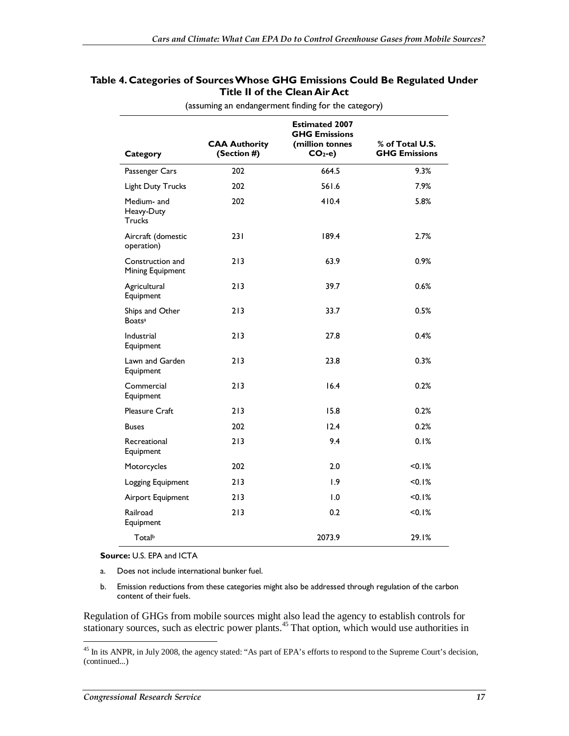#### **Table 4. Categories of Sources Whose GHG Emissions Could Be Regulated Under Title II of the Clean Air Act**

|                                            | <b>CAA Authority</b> | <b>Estimated 2007</b><br><b>GHG Emissions</b><br>(million tonnes | % of Total U.S.      |
|--------------------------------------------|----------------------|------------------------------------------------------------------|----------------------|
| Category                                   | (Section #)          | $CO2-e$                                                          | <b>GHG Emissions</b> |
| Passenger Cars                             | 202                  | 664.5                                                            | 9.3%                 |
| Light Duty Trucks                          | 202                  | 561.6                                                            | 7.9%                 |
| Medium- and<br>Heavy-Duty<br><b>Trucks</b> | 202                  | 410.4                                                            | 5.8%                 |
| Aircraft (domestic<br>operation)           | 231                  | 189.4                                                            | 2.7%                 |
| Construction and<br>Mining Equipment       | 213                  | 63.9                                                             | $0.9\%$              |
| Agricultural<br>Equipment                  | 213                  | 39.7                                                             | 0.6%                 |
| Ships and Other<br><b>Boatsa</b>           | 213                  | 33.7                                                             | 0.5%                 |
| Industrial<br>Equipment                    | 213                  | 27.8                                                             | 0.4%                 |
| Lawn and Garden<br>Equipment               | 213                  | 23.8                                                             | 0.3%                 |
| Commercial<br>Equipment                    | 213                  | 16.4                                                             | 0.2%                 |
| <b>Pleasure Craft</b>                      | 213                  | 15.8                                                             | 0.2%                 |
| <b>Buses</b>                               | 202                  | 12.4                                                             | 0.2%                 |
| Recreational<br>Equipment                  | 213                  | 9.4                                                              | 0.1%                 |
| Motorcycles                                | 202                  | 2.0                                                              | <0.I%                |
| Logging Equipment                          | 213                  | 1.9                                                              | < 0.1%               |
| Airport Equipment                          | 213                  | 1.0                                                              | < 0.1%               |
| Railroad<br>Equipment                      | 213                  | 0.2                                                              | <0.I%                |
| Totalb                                     |                      | 2073.9                                                           | 29.1%                |

(assuming an endangerment finding for the category)

**Source:** U.S. EPA and ICTA

- a. Does not include international bunker fuel.
- b. Emission reductions from these categories might also be addressed through regulation of the carbon content of their fuels.

Regulation of GHGs from mobile sources might also lead the agency to establish controls for stationary sources, such as electric power plants.<sup>45</sup> That option, which would use authorities in

<sup>-</sup><sup>45</sup> In its ANPR, in July 2008, the agency stated: "As part of EPA's efforts to respond to the Supreme Court's decision, (continued...)